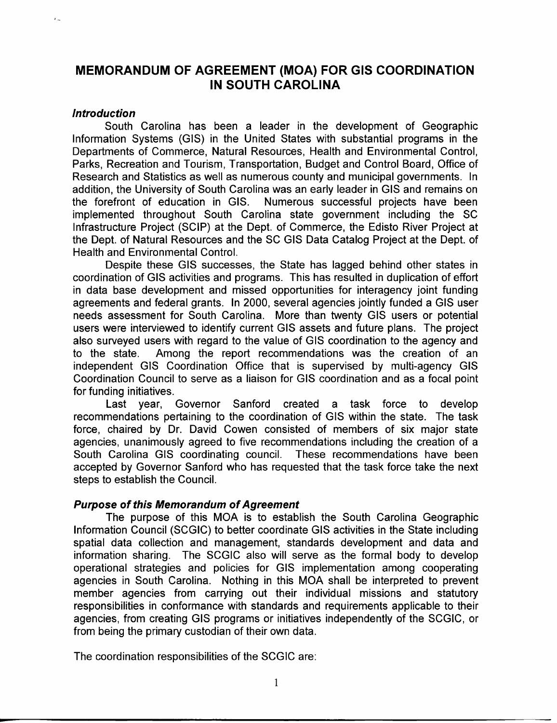# **MEMORANDUM OF AGREEMENT (MOA) FOR GIS COORDINATION IN SOUTH CAROLINA**

#### **Introduction**

South Carolina has been a leader in the development of Geographic Information Systems (GIS) in the United States with substantial programs in the Departments of Commerce, Natural Resources, Health and Environmental Control, Parks, Recreation and Tourism, Transportation, Budget and Control Board, Office of Research and Statistics as well as numerous county and municipal governments. In addition, the University of South Carolina was an early leader in GIS and remains on the forefront of education in GIS. Numerous successful projects have been implemented throughout South Carolina state government including the SC Infrastructure Project (SCIP) at the Dept. of Commerce, the Edisto River Project at the Dept. of Natural Resources and the SC GIS Data Catalog Project at the Dept. of Health and Environmental Control.

Despite these GIS successes, the State has lagged behind other states in coordination of GIS activities and programs. This has resulted in duplication of effort in data base development and missed opportunities for interagency joint funding agreements and federal grants. In 2000, several agencies jointly funded a GIS user needs assessment for South Carolina. More than twenty GIS users or potential users were interviewed to identify current GIS assets and future plans. The project also surveyed users with regard to the value of GIS coordination to the agency and to the state. Among the report recommendations was the creation of an independent GIS Coordination Office that is supervised by multi-agency GIS Coordination Council to serve as a liaison for GIS coordination and as a focal point for funding initiatives.

Last year, Governor Sanford created a task force to develop recommendations pertaining to the coordination of GIS within the state. The task force, chaired by Dr. David Cowen consisted of members of six major state agencies, unanimously agreed to five recommendations including the creation of a South Carolina GIS coordinating council. These recommendations have been accepted by Governor Sanford who has requested that the task force take the next steps to establish the Council.

## **Purpose of this Memorandum of Agreement**

The purpose of this MOA is to establish the South Carolina Geographic Information Council (SCGIC) to better coordinate GIS activities in the State including spatial data collection and management, standards development and data and information sharing. The SCGIC also will serve as the formal body to develop operational strategies and policies for GIS implementation among cooperating agencies in South Carolina. Nothing in this MOA shall be interpreted to prevent member agencies from carrying out their individual missions and statutory responsibilities in conformance with standards and requirements applicable to their agencies, from creating GIS programs or initiatives independently of the SCGIC, or from being the primary custodian of their own data.

The coordination responsibilities of the SCGIC are: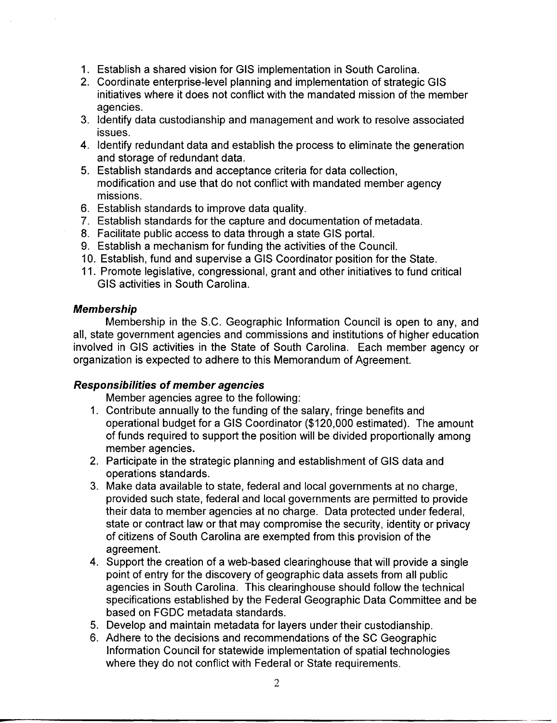- 1. Establish a shared vision for GIS implementation in South Carolina.
- 2. Coordinate enterprise-level planning and implementation of strategic GIS initiatives where it does not conflict with the mandated mission of the member agencies.
- 3. Identify data custodianship and management and work to resolve associated issues.
- 4. Identify redundant data and establish the process to eliminate the generation and storage of redundant data.
- 5. Establish standards and acceptance criteria for data collection, modification and use that do not conflict with mandated member agency missions.
- 6. Establish standards to improve data quality.
- 7. Establish standards for the capture and documentation of metadata.
- 8. Facilitate public access to data through a state GIS portal.
- 9. Establish a mechanism for funding the activities of the Council.
- 10. Establish, fund and supervise a GIS Coordinator position for the State.
- 11. Promote legislative, congressional, grant and other initiatives to fund critical GIS activities in South Carolina.

## **Membership**

Membership in the S.C. Geographic Information Council is open to any, and all, state government agencies and commissions and institutions of higher education involved in GIS activities in the State of South Carolina. Each member agency or organization is expected to adhere to this Memorandum of Agreement.

## **Responsibilities of member agencies**

Member agencies agree to the following:

- 1. Contribute annually to the funding of the salary, fringe benefits and operational budget for a GIS Coordinator (\$120,000 estimated). The amount of funds required to support the position will be divided proportionally among member agencies.
- 2. Participate in the strategic planning and establishment of GIS data and operations standards.
- 3. Make data available to state, federal and local governments at no charge, provided such state, federal and local governments are permitted to provide their data to member agencies at no charge. Data protected under federal, state or contract law or that may compromise the security, identity or privacy of citizens of South Carolina are exempted from this provision of the agreement.
- 4. Support the creation of a web-based clearinghouse that will provide a single point of entry for the discovery of geographic data assets from all public agencies in South Carolina. This clearinghouse should follow the technical specifications established by the Federal Geographic Data Committee and be based on FGDC metadata standards.
- 5. Develop and maintain metadata for layers under their custodianship.
- 6. Adhere to the decisions and recommendations of the SC Geographic Information Council for statewide implementation of spatial technologies where they do not conflict with Federal or State requirements.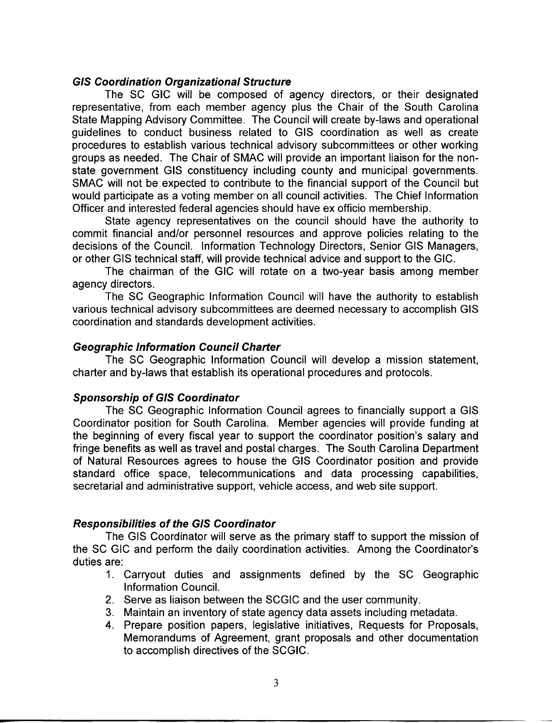## **GIS Coordination Organizational Structure**

The SC GIG will be composed of agency directors, or their designated representative, from each member agency plus the Chair of the South Carolina State Mapping Advisory Committee. The Council will create by-laws and operational guidelines to conduct business related to GIS coordination as well as create procedures to establish various technical advisory subcommittees or other working groups as needed. The Chair of SMAC will provide an important liaison for the nonstate government GIS constituency including county and municipal governments. SMAC will not be expected to contribute to the financial support of the Council but would participate as a voting member on all council activities. The Chief Information Officer and interested federal agencies should have ex officio membership.

State agency representatives on the council should have the authority to commit financial and/or personnel resources and approve policies relating to the decisions of the Council. Information Technology Directors, Senior GIS Managers, or other GIS technical staff, will provide technical advice and support to the GIG.

The chairman of the GIG will rotate on a two-year basis among member agency directors.

The SC Geographic Information Council will have the authority to establish various technical advisory subcommittees are deemed necessary to accomplish GIS coordination and standards development activities.

## **Geographic Information Council Charter**

The SC Geographic Information Council will develop a mission statement, charter and by-laws that establish its operational procedures and protocols.

## **Sponsorship of GIS Coordinator**

The SC Geographic Information Council agrees to financially support a GIS Coordinator position for South Carolina. Member agencies will provide funding at the beginning of every fiscal year to support the coordinator position's salary and fringe benefits as well as travel and postal charges. The South Carolina Department of Natural Resources agrees to house the GIS Coordinator position and provide standard office space, telecommunications and data processing capabilities, secretarial and administrative support, vehicle access, and web site support.

## **Responsibilities of the GIS Coordinator**

The GIS Coordinator will serve as the primary staff to support the mission of the SC GIG and perform the daily coordination activities. Among the Coordinator's duties are:

- 1. Carryout duties and assignments defined by the SC Geographic Information Council.
- 2. Serve as liaison between the SCGIC and the user community.
- 3. Maintain an inventory of state agency data assets including metadata.
- 4. Prepare position papers, legislative initiatives, Requests for Proposals, Memorandums of Agreement, grant proposals and other documentation to accomplish directives of the SCGIC.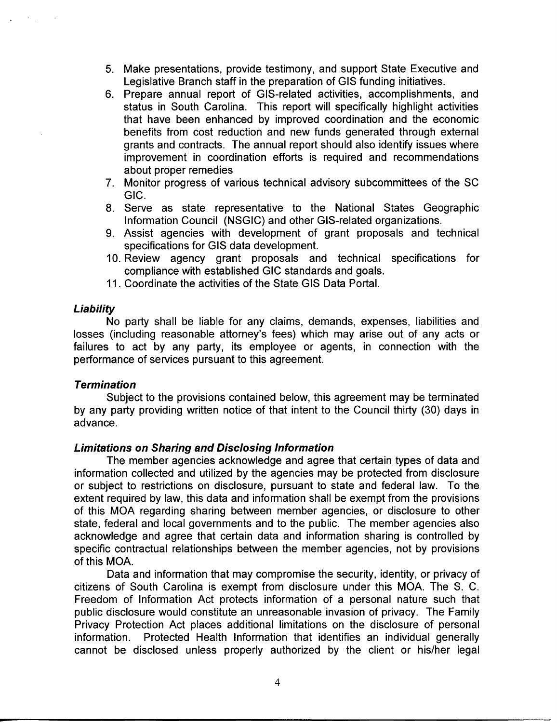- 5. Make presentations, provide testimony, and support State Executive and Legislative Branch staff in the preparation of GIS funding initiatives.
- 6. Prepare annual report of GIS-related activities, accomplishments, and status in South Carolina. This report will specifically highlight activities that have been enhanced by improved coordination and the economic benefits from cost reduction and new funds generated through external grants and contracts. The annual report should also identify issues where improvement in coordination efforts is required and recommendations about proper remedies
- 7. Monitor progress of various technical advisory subcommittees of the SC GIC.
- 8. Serve as state representative to the National States Geographic Information Council (NSGIC) and other GIS-related organizations.
- 9. Assist agencies with development of grant proposals and technical specifications for GIS data development.
- 10. Review agency grant proposals and technical specifications for compliance with established GIC standards and goals.
- 11. Coordinate the activities of the State GIS Data Portal.

#### **Liability**

No party shall be liable for any claims, demands, expenses, liabilities and losses (including reasonable attorney's fees) which may arise out of any acts or failures to act by any party, its employee or agents, in connection with the performance of services pursuant to this agreement.

#### **Termination**

Subject to the provisions contained below, this agreement may be terminated by any party providing written notice of that intent to the Council thirty (30) days in advance.

## **Limitations on Sharing and Disclosing Information**

The member agencies acknowledge and agree that certain types of data and information collected and utilized by the agencies may be protected from disclosure or subject to restrictions on disclosure, pursuant to state and federal law. To the extent required by law, this data and information shall be exempt from the provisions of this MOA regarding sharing between member agencies, or disclosure to other state, federal and local governments and to the public. The member agencies also acknowledge and agree that certain data and information sharing is controlled by specific contractual relationships between the member agencies, not by provisions of this MOA.

Data and information that may compromise the security, identity, or privacy of citizens of South Carolina is exempt from disclosure under this MOA. The S. C. Freedom of Information Act protects information of a personal nature such that public disclosure would constitute an unreasonable invasion of privacy. The Family Privacy Protection Act places additional limitations on the disclosure of personal information. Protected Health Information that identifies an individual generally cannot be disclosed unless properly authorized by the client or his/her legal